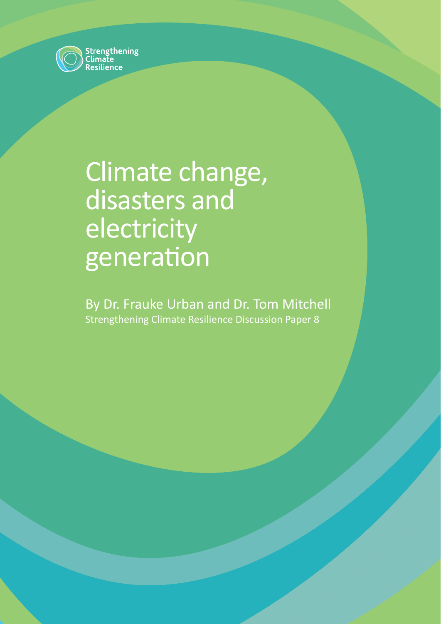

# Climate change, disasters and electricity generation

By Dr. Frauke Urban and Dr. Tom Mitchell Strengthening Climate Resilience Discussion Paper 8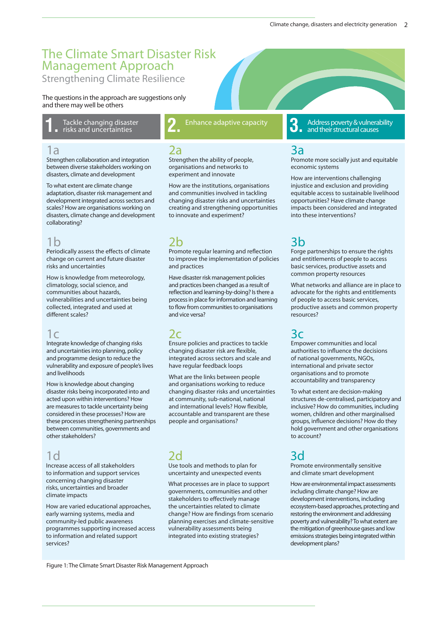## The Climate Smart Disaster Risk Management Approach

Strengthening Climate Resilience

The questions in the approach are suggestions only and there may well be others

risks and uncertainties

#### 1a

Strengthen collaboration and integration between diverse stakeholders working on disasters, climate and development

To what extent are climate change adaptation, disaster risk management and development integrated across sectors and scales? How are organisations working on disasters, climate change and development collaborating?

### 1b

Periodically assess the effects of climate change on current and future disaster risks and uncertainties

How is knowledge from meteorology, climatology, social science, and communities about hazards, vulnerabilities and uncertainties being collected, integrated and used at different scales?

#### $1<sup>c</sup>$

Integrate knowledge of changing risks and uncertainties into planning, policy and programme design to reduce the vulnerability and exposure of people's lives and livelihoods

How is knowledge about changing disaster risks being incorporated into and acted upon within interventions? How are measures to tackle uncertainty being considered in these processes? How are these processes strengthening partnerships between communities, governments and other stakeholders?

## $1<sub>0</sub>$

Increase access of all stakeholders to information and support services concerning changing disaster risks, uncertainties and broader climate impacts

How are varied educational approaches, early warning systems, media and community-led public awareness programmes supporting increased access to information and related support services?

Tackle changing disaster **1. 2.** Enhance adaptive capacity

#### 2a

Strengthen the ability of people, organisations and networks to experiment and innovate

How are the institutions, organisations and communities involved in tackling changing disaster risks and uncertainties creating and strengthening opportunities to innovate and experiment?

## 2b

Promote regular learning and reflection to improve the implementation of policies and practices

Have disaster risk management policies and practices been changed as a result of reflection and learning-by-doing? Is there a process in place for information and learning to flow from communities to organisations and vice versa?

## 2c

Ensure policies and practices to tackle changing disaster risk are flexible, integrated across sectors and scale and have regular feedback loops

What are the links between people and organisations working to reduce changing disaster risks and uncertainties at community, sub-national, national and international levels? How flexible, accountable and transparent are these people and organisations?

## 2d

Use tools and methods to plan for uncertainty and unexpected events

What processes are in place to support governments, communities and other stakeholders to effectively manage the uncertainties related to climate change? How are findings from scenario planning exercises and climate-sensitive vulnerability assessments being integrated into existing strategies?

Address poverty & vulnerability and their structural causes

## 3a

Promote more socially just and equitable economic systems

How are interventions challenging injustice and exclusion and providing equitable access to sustainable livelihood opportunities? Have climate change impacts been considered and integrated into these interventions?

## 3b

Forge partnerships to ensure the rights and entitlements of people to access basic services, productive assets and common property resources

What networks and alliance are in place to advocate for the rights and entitlements of people to access basic services, productive assets and common property resources?

## 3c

Empower communities and local authorities to influence the decisions of national governments, NGOs, international and private sector organisations and to promote accountability and transparency

To what extent are decision-making structures de-centralised, participatory and inclusive? How do communities, including women, children and other marginalised groups, influence decisions? How do they hold government and other organisations to account?

## 3d

Promote environmentally sensitive and climate smart development

How are environmental impact assessments including climate change? How are development interventions, including ecosystem-based approaches, protecting and restoring the environment and addressing poverty and vulnerability? To what extent are the mitigation of greenhouse gases and low emissions strategies being integrated within development plans?

Figure 1: The Climate Smart Disaster Risk Management Approach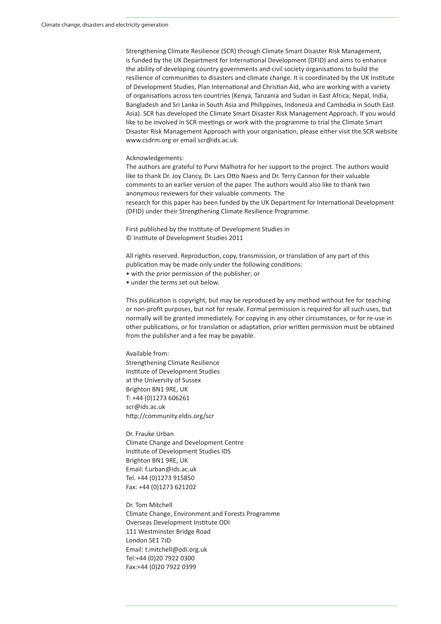Strengthening Climate Resilience (SCR) through Climate Smart Disaster Risk Management, is funded by the UK Department for International Development (DFID) and aims to enhance the ability of developing country governments and civil society organisations to build the resilience of communities to disasters and climate change. It is coordinated by the UK Institute of Development Studies, Plan International and Christian Aid, who are working with a variety of organisations across ten countries (Kenya, Tanzania and Sudan in East Africa; Nepal, India, Bangladesh and Sri Lanka in South Asia and Philippines, Indonesia and Cambodia in South East Asia). SCR has developed the Climate Smart Disaster Risk Management Approach. If you would like to be involved in SCR meetings or work with the programme to trial the Climate Smart Disaster Risk Management Approach with your organisation, please either visit the SCR website www.csdrm.org or email scr@ids.ac.uk.

#### Acknowledgements:

The authors are grateful to Purvi Malhotra for her support to the project. The authors would like to thank Dr. Joy Clancy, Dr. Lars Otto Naess and Dr. Terry Cannon for their valuable comments to an earlier version of the paper. The authors would also like to thank two anonymous reviewers for their valuable comments. The research for this paper has been funded by the UK Department for International Development (DFID) under their Strengthening Climate Resilience Programme.

First published by the Institute of Development Studies in © Institute of Development Studies 2011

All rights reserved. Reproduction, copy, transmission, or translation of any part of this publication may be made only under the following conditions:

- with the prior permission of the publisher; or
- under the terms set out below.

This publication is copyright, but may be reproduced by any method without fee for teaching or non-profit purposes, but not for resale. Formal permission is required for all such uses, but normally will be granted immediately. For copying in any other circumstances, or for re-use in other publications, or for translation or adaptation, prior written permission must be obtained from the publisher and a fee may be payable.

Available from: Strengthening Climate Resilience Institute of Development Studies at the University of Sussex Brighton BN1 9RE, UK T: +44 (0)1273 606261 scr@ids.ac.uk http://community.eldis.org/scr

Dr. Frauke Urban Climate Change and Development Centre Institute of Development Studies IDS Brighton BN1 9RE, UK Email: f.urban@ids.ac.uk Tel. +44 (0)1273 915850 Fax: +44 (0)1273 621202

Dr. Tom Mitchell Climate Change, Environment and Forests Programme Overseas Development Institute ODI 111 Westminster Bridge Road London SE1 7JD Email: t.mitchell@odi.org.uk Tel:+44 (0)20 7922 0300 Fax:+44 (0)20 7922 0399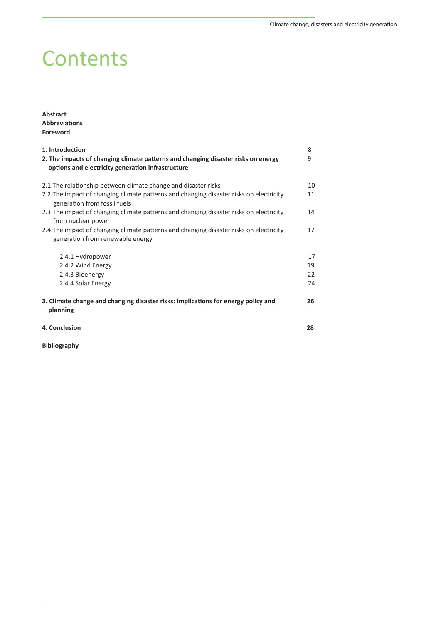## **Contents**

**Abstract AbbreviaƟ ons Foreword**

| 1. Introduction<br>2. The impacts of changing climate patterns and changing disaster risks on energy<br>options and electricity generation infrastructure | 8<br>9 |
|-----------------------------------------------------------------------------------------------------------------------------------------------------------|--------|
| 2.1 The relationship between climate change and disaster risks                                                                                            | 10     |
| 2.2 The impact of changing climate patterns and changing disaster risks on electricity<br>generation from fossil fuels                                    | 11     |
| 2.3 The impact of changing climate patterns and changing disaster risks on electricity<br>from nuclear power                                              | 14     |
| 2.4 The impact of changing climate patterns and changing disaster risks on electricity<br>generation from renewable energy                                | 17     |
| 2.4.1 Hydropower                                                                                                                                          | 17     |
| 2.4.2 Wind Energy                                                                                                                                         | 19     |
| 2.4.3 Bioenergy                                                                                                                                           | 22     |
| 2.4.4 Solar Energy                                                                                                                                        | 24     |
| 3. Climate change and changing disaster risks: implications for energy policy and<br>planning                                                             | 26     |
| 4. Conclusion                                                                                                                                             | 28     |
| <b>Bibliography</b>                                                                                                                                       |        |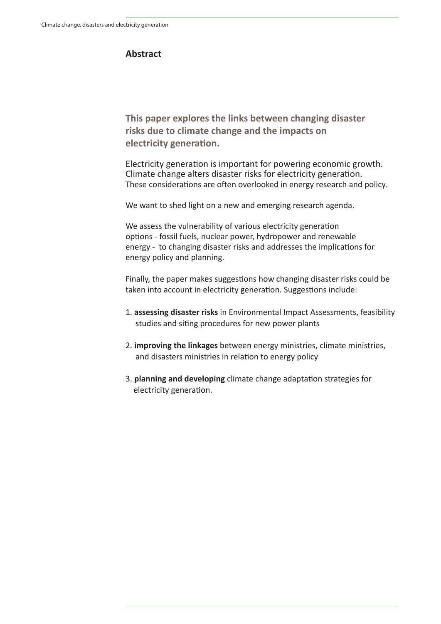#### **Abstract**

**This paper explores the links between changing disaster risks due to climate change and the impacts on electricity generation.** 

Electricity generation is important for powering economic growth. Climate change alters disaster risks for electricity generation. These considerations are often overlooked in energy research and policy.

We want to shed light on a new and emerging research agenda.

We assess the vulnerability of various electricity generation options - fossil fuels, nuclear power, hydropower and renewable energy - to changing disaster risks and addresses the implications for energy policy and planning.

Finally, the paper makes suggestions how changing disaster risks could be taken into account in electricity generation. Suggestions include:

- 1. **assessing disaster risks** in Environmental Impact Assessments, feasibility studies and siting procedures for new power plants
- 2. **improving the linkages** between energy ministries, climate ministries, and disasters ministries in relation to energy policy
- 3. **planning and developing** climate change adaptation strategies for electricity generation.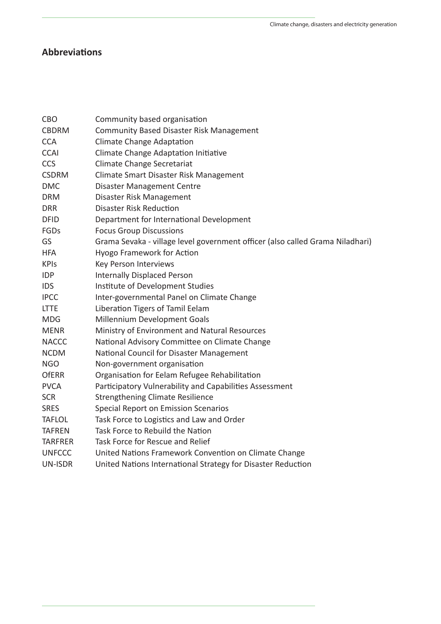## **AbbreviaƟ ons**

| <b>CBO</b>     | Community based organisation                                                  |
|----------------|-------------------------------------------------------------------------------|
| <b>CBDRM</b>   | <b>Community Based Disaster Risk Management</b>                               |
| <b>CCA</b>     | <b>Climate Change Adaptation</b>                                              |
| <b>CCAI</b>    | Climate Change Adaptation Initiative                                          |
| CCS            | <b>Climate Change Secretariat</b>                                             |
| <b>CSDRM</b>   | Climate Smart Disaster Risk Management                                        |
| <b>DMC</b>     | <b>Disaster Management Centre</b>                                             |
| <b>DRM</b>     | Disaster Risk Management                                                      |
| <b>DRR</b>     | <b>Disaster Risk Reduction</b>                                                |
| <b>DFID</b>    | Department for International Development                                      |
| FGDs           | <b>Focus Group Discussions</b>                                                |
| GS             | Grama Sevaka - village level government officer (also called Grama Niladhari) |
| <b>HFA</b>     | Hyogo Framework for Action                                                    |
| <b>KPIs</b>    | Key Person Interviews                                                         |
| <b>IDP</b>     | <b>Internally Displaced Person</b>                                            |
| <b>IDS</b>     | Institute of Development Studies                                              |
| <b>IPCC</b>    | Inter-governmental Panel on Climate Change                                    |
| <b>LTTE</b>    | Liberation Tigers of Tamil Eelam                                              |
| <b>MDG</b>     | Millennium Development Goals                                                  |
| <b>MENR</b>    | Ministry of Environment and Natural Resources                                 |
| <b>NACCC</b>   | National Advisory Committee on Climate Change                                 |
| <b>NCDM</b>    | National Council for Disaster Management                                      |
| <b>NGO</b>     | Non-government organisation                                                   |
| <b>OfERR</b>   | Organisation for Eelam Refugee Rehabilitation                                 |
| <b>PVCA</b>    | Participatory Vulnerability and Capabilities Assessment                       |
| <b>SCR</b>     | <b>Strengthening Climate Resilience</b>                                       |
| <b>SRES</b>    | Special Report on Emission Scenarios                                          |
| <b>TAFLOL</b>  | Task Force to Logistics and Law and Order                                     |
| <b>TAFREN</b>  | Task Force to Rebuild the Nation                                              |
| <b>TARFRER</b> | Task Force for Rescue and Relief                                              |
| <b>UNFCCC</b>  | United Nations Framework Convention on Climate Change                         |
| <b>UN-ISDR</b> | United Nations International Strategy for Disaster Reduction                  |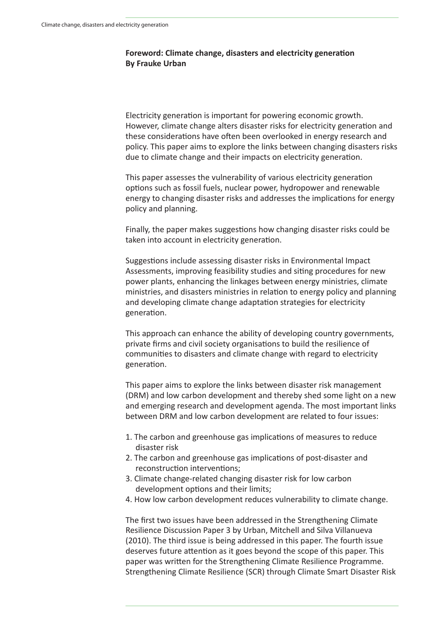#### **Foreword: Climate change, disasters and electricity generation By Frauke Urban**

Electricity generation is important for powering economic growth. However, climate change alters disaster risks for electricity generation and these considerations have often been overlooked in energy research and policy. This paper aims to explore the links between changing disasters risks due to climate change and their impacts on electricity generation.

This paper assesses the vulnerability of various electricity generation options such as fossil fuels, nuclear power, hydropower and renewable energy to changing disaster risks and addresses the implications for energy policy and planning.

Finally, the paper makes suggestions how changing disaster risks could be taken into account in electricity generation.

Suggestions include assessing disaster risks in Environmental Impact Assessments, improving feasibility studies and siting procedures for new power plants, enhancing the linkages between energy ministries, climate ministries, and disasters ministries in relation to energy policy and planning and developing climate change adaptation strategies for electricity generation.

This approach can enhance the ability of developing country governments, private firms and civil society organisations to build the resilience of communities to disasters and climate change with regard to electricity generation.

This paper aims to explore the links between disaster risk management (DRM) and low carbon development and thereby shed some light on a new and emerging research and development agenda. The most important links between DRM and low carbon development are related to four issues:

- 1. The carbon and greenhouse gas implications of measures to reduce disaster risk
- 2. The carbon and greenhouse gas implications of post-disaster and reconstruction interventions;
- 3. Climate change-related changing disaster risk for low carbon development options and their limits;
- 4. How low carbon development reduces vulnerability to climate change.

The first two issues have been addressed in the Strengthening Climate Resilience Discussion Paper 3 by Urban, Mitchell and Silva Villanueva (2010). The third issue is being addressed in this paper. The fourth issue deserves future attention as it goes beyond the scope of this paper. This paper was written for the Strengthening Climate Resilience Programme. Strengthening Climate Resilience (SCR) through Climate Smart Disaster Risk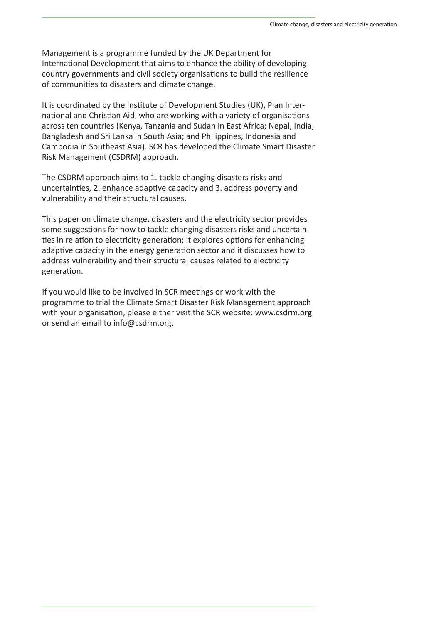Management is a programme funded by the UK Department for International Development that aims to enhance the ability of developing country governments and civil society organisations to build the resilience of communities to disasters and climate change.

It is coordinated by the Institute of Development Studies (UK), Plan International and Christian Aid, who are working with a variety of organisations across ten countries (Kenya, Tanzania and Sudan in East Africa; Nepal, India, Bangladesh and Sri Lanka in South Asia; and Philippines, Indonesia and Cambodia in Southeast Asia). SCR has developed the Climate Smart Disaster Risk Management (CSDRM) approach.

The CSDRM approach aims to 1. tackle changing disasters risks and uncertainties, 2. enhance adaptive capacity and 3. address poverty and vulnerability and their structural causes.

This paper on climate change, disasters and the electricity sector provides some suggestions for how to tackle changing disasters risks and uncertainties in relation to electricity generation; it explores options for enhancing adaptive capacity in the energy generation sector and it discusses how to address vulnerability and their structural causes related to electricity generation.

If you would like to be involved in SCR meetings or work with the programme to trial the Climate Smart Disaster Risk Management approach with your organisation, please either visit the SCR website: www.csdrm.org or send an email to info@csdrm.org.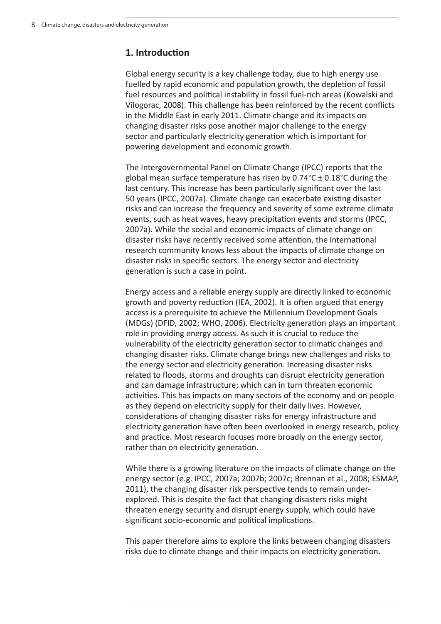## 1. Introduction

Global energy security is a key challenge today, due to high energy use fuelled by rapid economic and population growth, the depletion of fossil fuel resources and political instability in fossil fuel-rich areas (Kowalski and Vilogorac, 2008). This challenge has been reinforced by the recent conflicts in the Middle East in early 2011. Climate change and its impacts on changing disaster risks pose another major challenge to the energy sector and particularly electricity generation which is important for powering development and economic growth.

The Intergovernmental Panel on Climate Change (IPCC) reports that the global mean surface temperature has risen by 0.74°C ± 0.18°C during the last century. This increase has been particularly significant over the last 50 years (IPCC, 2007a). Climate change can exacerbate existing disaster risks and can increase the frequency and severity of some extreme climate events, such as heat waves, heavy precipitation events and storms (IPCC, 2007a). While the social and economic impacts of climate change on disaster risks have recently received some attention, the international research community knows less about the impacts of climate change on disaster risks in specific sectors. The energy sector and electricity generation is such a case in point.

Energy access and a reliable energy supply are directly linked to economic growth and poverty reduction (IEA, 2002). It is often argued that energy access is a prerequisite to achieve the Millennium Development Goals (MDGs) (DFID, 2002; WHO, 2006). Electricity generation plays an important role in providing energy access. As such it is crucial to reduce the vulnerability of the electricity generation sector to climatic changes and changing disaster risks. Climate change brings new challenges and risks to the energy sector and electricity generation. Increasing disaster risks related to floods, storms and droughts can disrupt electricity generation and can damage infrastructure; which can in turn threaten economic activities. This has impacts on many sectors of the economy and on people as they depend on electricity supply for their daily lives. However, considerations of changing disaster risks for energy infrastructure and electricity generation have often been overlooked in energy research, policy and practice. Most research focuses more broadly on the energy sector, rather than on electricity generation.

While there is a growing literature on the impacts of climate change on the energy sector (e.g. IPCC, 2007a; 2007b; 2007c; Brennan et al., 2008; ESMAP, 2011), the changing disaster risk perspective tends to remain underexplored. This is despite the fact that changing disasters risks might threaten energy security and disrupt energy supply, which could have significant socio-economic and political implications.

This paper therefore aims to explore the links between changing disasters risks due to climate change and their impacts on electricity generation.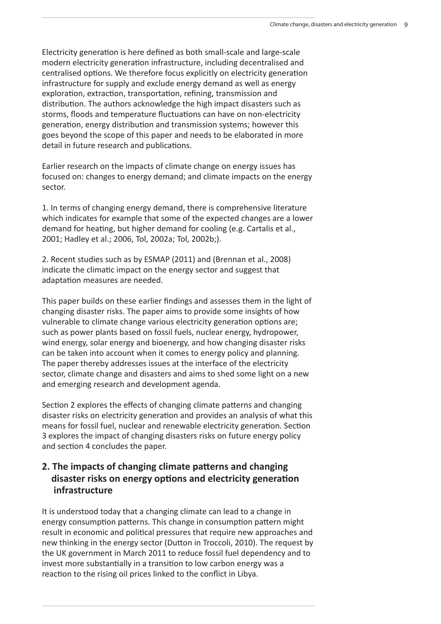Electricity generation is here defined as both small-scale and large-scale modern electricity generation infrastructure, including decentralised and centralised options. We therefore focus explicitly on electricity generation infrastructure for supply and exclude energy demand as well as energy exploration, extraction, transportation, refining, transmission and distribution. The authors acknowledge the high impact disasters such as storms, floods and temperature fluctuations can have on non-electricity generation, energy distribution and transmission systems; however this goes beyond the scope of this paper and needs to be elaborated in more detail in future research and publications.

Earlier research on the impacts of climate change on energy issues has focused on: changes to energy demand; and climate impacts on the energy sector.

1. In terms of changing energy demand, there is comprehensive literature which indicates for example that some of the expected changes are a lower demand for heating, but higher demand for cooling (e.g. Cartalis et al., 2001; Hadley et al.; 2006, Tol, 2002a; Tol, 2002b;).

2. Recent studies such as by ESMAP (2011) and (Brennan et al., 2008) indicate the climatic impact on the energy sector and suggest that adaptation measures are needed.

This paper builds on these earlier findings and assesses them in the light of changing disaster risks. The paper aims to provide some insights of how vulnerable to climate change various electricity generation options are: such as power plants based on fossil fuels, nuclear energy, hydropower, wind energy, solar energy and bioenergy, and how changing disaster risks can be taken into account when it comes to energy policy and planning. The paper thereby addresses issues at the interface of the electricity sector, climate change and disasters and aims to shed some light on a new and emerging research and development agenda.

Section 2 explores the effects of changing climate patterns and changing disaster risks on electricity generation and provides an analysis of what this means for fossil fuel, nuclear and renewable electricity generation. Section 3 explores the impact of changing disasters risks on future energy policy and section 4 concludes the paper.

## **2. The impacts of changing climate patterns and changing disaster risks on energy options and electricity generation infrastructure**

It is understood today that a changing climate can lead to a change in energy consumption patterns. This change in consumption pattern might result in economic and political pressures that require new approaches and new thinking in the energy sector (Dutton in Troccoli, 2010). The request by the UK government in March 2011 to reduce fossil fuel dependency and to invest more substantially in a transition to low carbon energy was a reaction to the rising oil prices linked to the conflict in Libya.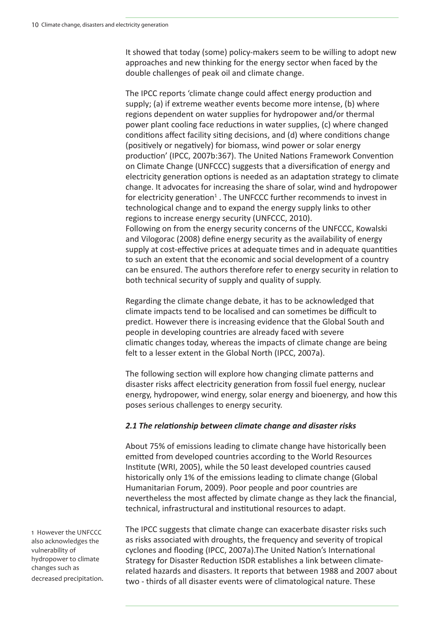It showed that today (some) policy-makers seem to be willing to adopt new approaches and new thinking for the energy sector when faced by the double challenges of peak oil and climate change.

The IPCC reports 'climate change could affect energy production and supply; (a) if extreme weather events become more intense, (b) where regions dependent on water supplies for hydropower and/or thermal power plant cooling face reductions in water supplies, (c) where changed conditions affect facility siting decisions, and (d) where conditions change (positively or negatively) for biomass, wind power or solar energy production' (IPCC, 2007b:367). The United Nations Framework Convention on Climate Change (UNFCCC) suggests that a diversification of energy and electricity generation options is needed as an adaptation strategy to climate change. It advocates for increasing the share of solar, wind and hydropower for electricity generation<sup>1</sup>. The UNFCCC further recommends to invest in technological change and to expand the energy supply links to other regions to increase energy security (UNFCCC, 2010). Following on from the energy security concerns of the UNFCCC, Kowalski and Vilogorac (2008) define energy security as the availability of energy supply at cost-effective prices at adequate times and in adequate quantities to such an extent that the economic and social development of a country can be ensured. The authors therefore refer to energy security in relation to both technical security of supply and quality of supply.

Regarding the climate change debate, it has to be acknowledged that climate impacts tend to be localised and can sometimes be difficult to predict. However there is increasing evidence that the Global South and people in developing countries are already faced with severe climaƟ c changes today, whereas the impacts of climate change are being felt to a lesser extent in the Global North (IPCC, 2007a).

The following section will explore how changing climate patterns and disaster risks affect electricity generation from fossil fuel energy, nuclear energy, hydropower, wind energy, solar energy and bioenergy, and how this poses serious challenges to energy security.

#### 2.1 The relationship between climate change and disaster risks

About 75% of emissions leading to climate change have historically been emitted from developed countries according to the World Resources Institute (WRI, 2005), while the 50 least developed countries caused historically only 1% of the emissions leading to climate change (Global Humanitarian Forum, 2009). Poor people and poor countries are nevertheless the most affected by climate change as they lack the financial, technical, infrastructural and institutional resources to adapt.

1 However the UNFCCC also acknowledges the vulnerability of hydropower to climate changes such as decreased precipitation. The IPCC suggests that climate change can exacerbate disaster risks such as risks associated with droughts, the frequency and severity of tropical cyclones and flooding (IPCC, 2007a). The United Nation's International Strategy for Disaster Reduction ISDR establishes a link between climaterelated hazards and disasters. It reports that between 1988 and 2007 about two - thirds of all disaster events were of climatological nature. These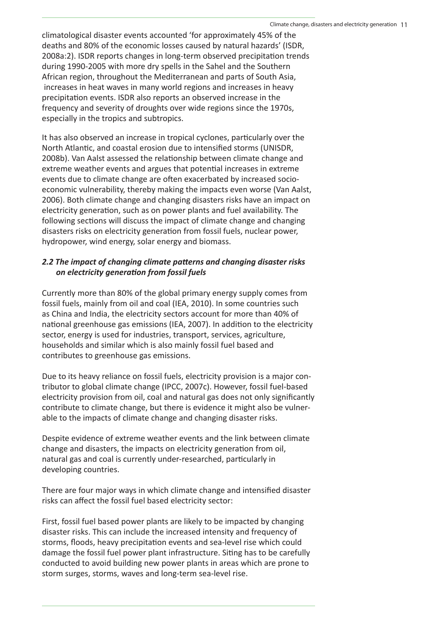climatological disaster events accounted 'for approximately 45% of the deaths and 80% of the economic losses caused by natural hazards' (ISDR, 2008a:2). ISDR reports changes in long-term observed precipitation trends during 1990-2005 with more dry spells in the Sahel and the Southern African region, throughout the Mediterranean and parts of South Asia, increases in heat waves in many world regions and increases in heavy precipitation events. ISDR also reports an observed increase in the frequency and severity of droughts over wide regions since the 1970s, especially in the tropics and subtropics.

It has also observed an increase in tropical cyclones, particularly over the North Atlantic, and coastal erosion due to intensified storms (UNISDR, 2008b). Van Aalst assessed the relationship between climate change and extreme weather events and argues that potential increases in extreme events due to climate change are often exacerbated by increased socioeconomic vulnerability, thereby making the impacts even worse (Van Aalst, 2006). Both climate change and changing disasters risks have an impact on electricity generation, such as on power plants and fuel availability. The following sections will discuss the impact of climate change and changing disasters risks on electricity generation from fossil fuels, nuclear power, hydropower, wind energy, solar energy and biomass.

#### 2.2 The impact of changing climate patterns and changing disaster risks  *on electricity generaƟ on from fossil fuels*

Currently more than 80% of the global primary energy supply comes from fossil fuels, mainly from oil and coal (IEA, 2010). In some countries such as China and India, the electricity sectors account for more than 40% of national greenhouse gas emissions (IEA, 2007). In addition to the electricity sector, energy is used for industries, transport, services, agriculture, households and similar which is also mainly fossil fuel based and contributes to greenhouse gas emissions.

Due to its heavy reliance on fossil fuels, electricity provision is a major contributor to global climate change (IPCC, 2007c). However, fossil fuel-based electricity provision from oil, coal and natural gas does not only significantly contribute to climate change, but there is evidence it might also be vulnerable to the impacts of climate change and changing disaster risks.

Despite evidence of extreme weather events and the link between climate change and disasters, the impacts on electricity generation from oil, natural gas and coal is currently under-researched, particularly in developing countries.

There are four major ways in which climate change and intensified disaster risks can affect the fossil fuel based electricity sector:

First, fossil fuel based power plants are likely to be impacted by changing disaster risks. This can include the increased intensity and frequency of storms, floods, heavy precipitation events and sea-level rise which could damage the fossil fuel power plant infrastructure. Siting has to be carefully conducted to avoid building new power plants in areas which are prone to storm surges, storms, waves and long-term sea-level rise.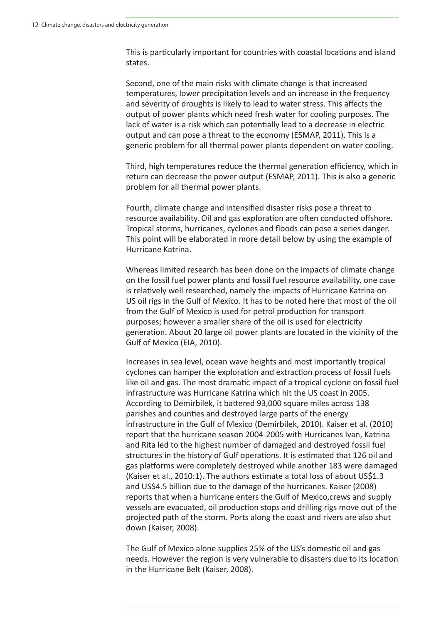This is particularly important for countries with coastal locations and island states.

Second, one of the main risks with climate change is that increased temperatures, lower precipitation levels and an increase in the frequency and severity of droughts is likely to lead to water stress. This affects the output of power plants which need fresh water for cooling purposes. The lack of water is a risk which can potentially lead to a decrease in electric output and can pose a threat to the economy (ESMAP, 2011). This is a generic problem for all thermal power plants dependent on water cooling.

Third, high temperatures reduce the thermal generation efficiency, which in return can decrease the power output (ESMAP, 2011). This is also a generic problem for all thermal power plants.

Fourth, climate change and intensified disaster risks pose a threat to resource availability. Oil and gas exploration are often conducted offshore. Tropical storms, hurricanes, cyclones and floods can pose a series danger. This point will be elaborated in more detail below by using the example of Hurricane Katrina.

Whereas limited research has been done on the impacts of climate change on the fossil fuel power plants and fossil fuel resource availability, one case is relatively well researched, namely the impacts of Hurricane Katrina on US oil rigs in the Gulf of Mexico. It has to be noted here that most of the oil from the Gulf of Mexico is used for petrol production for transport purposes; however a smaller share of the oil is used for electricity generation. About 20 large oil power plants are located in the vicinity of the Gulf of Mexico (EIA, 2010).

Increases in sea level, ocean wave heights and most importantly tropical cyclones can hamper the exploration and extraction process of fossil fuels like oil and gas. The most dramatic impact of a tropical cyclone on fossil fuel infrastructure was Hurricane Katrina which hit the US coast in 2005. According to Demirbilek, it battered 93,000 square miles across 138 parishes and counties and destroyed large parts of the energy infrastructure in the Gulf of Mexico (Demirbilek, 2010). Kaiser et al. (2010) report that the hurricane season 2004-2005 with Hurricanes Ivan, Katrina and Rita led to the highest number of damaged and destroyed fossil fuel structures in the history of Gulf operations. It is estimated that 126 oil and gas platforms were completely destroyed while another 183 were damaged (Kaiser et al., 2010:1). The authors estimate a total loss of about US\$1.3 and US\$4.5 billion due to the damage of the hurricanes. Kaiser (2008) reports that when a hurricane enters the Gulf of Mexico,crews and supply vessels are evacuated, oil production stops and drilling rigs move out of the projected path of the storm. Ports along the coast and rivers are also shut down (Kaiser, 2008).

The Gulf of Mexico alone supplies 25% of the US's domestic oil and gas needs. However the region is very vulnerable to disasters due to its location in the Hurricane Belt (Kaiser, 2008).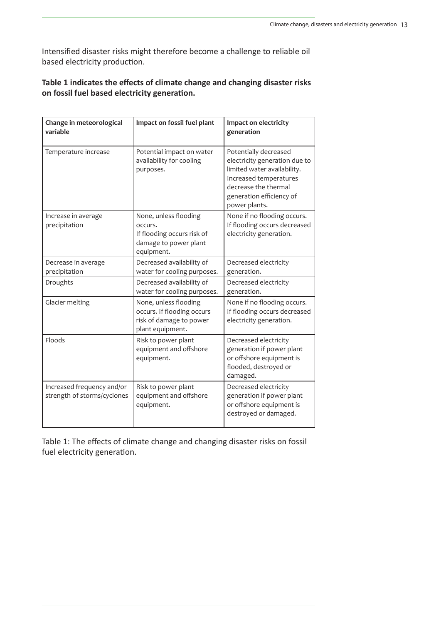Intensified disaster risks might therefore become a challenge to reliable oil based electricity production.

#### Table 1 indicates the effects of climate change and changing disaster risks **on fossil fuel based electricity generation.**

| Change in meteorological<br>variable                      | Impact on fossil fuel plant                                                                           | Impact on electricity<br>generation                                                                                                                                                  |
|-----------------------------------------------------------|-------------------------------------------------------------------------------------------------------|--------------------------------------------------------------------------------------------------------------------------------------------------------------------------------------|
| Temperature increase                                      | Potential impact on water<br>availability for cooling<br>purposes.                                    | Potentially decreased<br>electricity generation due to<br>limited water availability.<br>Increased temperatures<br>decrease the thermal<br>generation efficiency of<br>power plants. |
| Increase in average<br>precipitation                      | None, unless flooding<br>occurs.<br>If flooding occurs risk of<br>damage to power plant<br>equipment. | None if no flooding occurs.<br>If flooding occurs decreased<br>electricity generation.                                                                                               |
| Decrease in average<br>precipitation                      | Decreased availability of<br>water for cooling purposes.                                              | Decreased electricity<br>generation.                                                                                                                                                 |
| Droughts                                                  | Decreased availability of<br>water for cooling purposes.                                              | Decreased electricity<br>generation.                                                                                                                                                 |
| Glacier melting                                           | None, unless flooding<br>occurs. If flooding occurs<br>risk of damage to power<br>plant equipment.    | None if no flooding occurs.<br>If flooding occurs decreased<br>electricity generation.                                                                                               |
| Floods                                                    | Risk to power plant<br>equipment and offshore<br>equipment.                                           | Decreased electricity<br>generation if power plant<br>or offshore equipment is<br>flooded, destroyed or<br>damaged.                                                                  |
| Increased frequency and/or<br>strength of storms/cyclones | Risk to power plant<br>equipment and offshore<br>equipment.                                           | Decreased electricity<br>generation if power plant<br>or offshore equipment is<br>destroyed or damaged.                                                                              |

Table 1: The effects of climate change and changing disaster risks on fossil fuel electricity generation.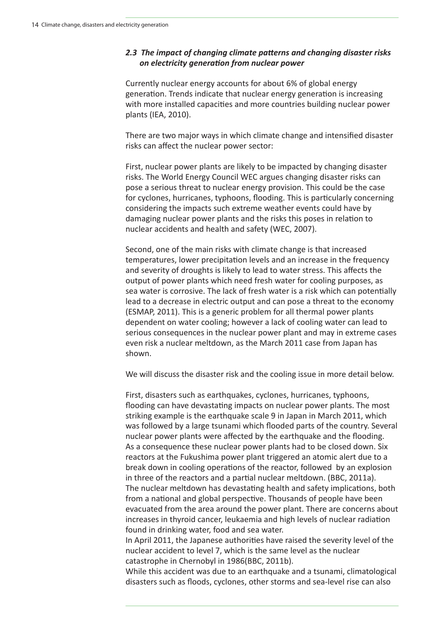#### 2.3 The impact of changing climate patterns and changing disaster risks  *on electricity generaƟ on from nuclear power*

Currently nuclear energy accounts for about 6% of global energy generation. Trends indicate that nuclear energy generation is increasing with more installed capacities and more countries building nuclear power plants (IEA, 2010).

There are two major ways in which climate change and intensified disaster risks can affect the nuclear power sector:

First, nuclear power plants are likely to be impacted by changing disaster risks. The World Energy Council WEC argues changing disaster risks can pose a serious threat to nuclear energy provision. This could be the case for cyclones, hurricanes, typhoons, flooding. This is particularly concerning considering the impacts such extreme weather events could have by damaging nuclear power plants and the risks this poses in relation to nuclear accidents and health and safety (WEC, 2007).

Second, one of the main risks with climate change is that increased temperatures, lower precipitation levels and an increase in the frequency and severity of droughts is likely to lead to water stress. This affects the output of power plants which need fresh water for cooling purposes, as sea water is corrosive. The lack of fresh water is a risk which can potentially lead to a decrease in electric output and can pose a threat to the economy (ESMAP, 2011). This is a generic problem for all thermal power plants dependent on water cooling; however a lack of cooling water can lead to serious consequences in the nuclear power plant and may in extreme cases even risk a nuclear meltdown, as the March 2011 case from Japan has shown.

We will discuss the disaster risk and the cooling issue in more detail below.

First, disasters such as earthquakes, cyclones, hurricanes, typhoons, flooding can have devastating impacts on nuclear power plants. The most striking example is the earthquake scale 9 in Japan in March 2011, which was followed by a large tsunami which flooded parts of the country. Several nuclear power plants were affected by the earthquake and the flooding. As a consequence these nuclear power plants had to be closed down. Six reactors at the Fukushima power plant triggered an atomic alert due to a break down in cooling operations of the reactor, followed by an explosion in three of the reactors and a partial nuclear meltdown. (BBC, 2011a). The nuclear meltdown has devastating health and safety implications, both from a national and global perspective. Thousands of people have been evacuated from the area around the power plant. There are concerns about increases in thyroid cancer, leukaemia and high levels of nuclear radiation found in drinking water, food and sea water.

In April 2011, the Japanese authorities have raised the severity level of the nuclear accident to level 7, which is the same level as the nuclear catastrophe in Chernobyl in 1986(BBC, 2011b).

While this accident was due to an earthquake and a tsunami, climatological disasters such as floods, cyclones, other storms and sea-level rise can also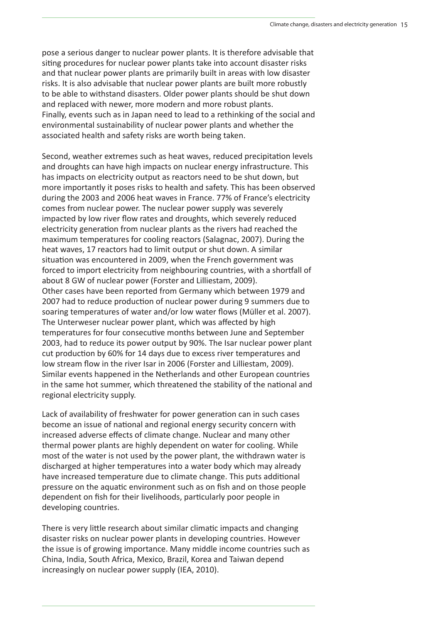pose a serious danger to nuclear power plants. It is therefore advisable that siting procedures for nuclear power plants take into account disaster risks and that nuclear power plants are primarily built in areas with low disaster risks. It is also advisable that nuclear power plants are built more robustly to be able to withstand disasters. Older power plants should be shut down and replaced with newer, more modern and more robust plants. Finally, events such as in Japan need to lead to a rethinking of the social and environmental sustainability of nuclear power plants and whether the associated health and safety risks are worth being taken.

Second, weather extremes such as heat waves, reduced precipitation levels and droughts can have high impacts on nuclear energy infrastructure. This has impacts on electricity output as reactors need to be shut down, but more importantly it poses risks to health and safety. This has been observed during the 2003 and 2006 heat waves in France. 77% of France's electricity comes from nuclear power. The nuclear power supply was severely impacted by low river flow rates and droughts, which severely reduced electricity generation from nuclear plants as the rivers had reached the maximum temperatures for cooling reactors (Salagnac, 2007). During the heat waves, 17 reactors had to limit output or shut down. A similar situation was encountered in 2009, when the French government was forced to import electricity from neighbouring countries, with a shortfall of about 8 GW of nuclear power (Forster and Lilliestam, 2009). Other cases have been reported from Germany which between 1979 and 2007 had to reduce production of nuclear power during 9 summers due to soaring temperatures of water and/or low water flows (Müller et al. 2007). The Unterweser nuclear power plant, which was affected by high temperatures for four consecutive months between June and September 2003, had to reduce its power output by 90%. The Isar nuclear power plant cut production by 60% for 14 days due to excess river temperatures and low stream flow in the river Isar in 2006 (Forster and Lilliestam, 2009). Similar events happened in the Netherlands and other European countries in the same hot summer, which threatened the stability of the national and regional electricity supply.

Lack of availability of freshwater for power generation can in such cases become an issue of national and regional energy security concern with increased adverse effects of climate change. Nuclear and many other thermal power plants are highly dependent on water for cooling. While most of the water is not used by the power plant, the withdrawn water is discharged at higher temperatures into a water body which may already have increased temperature due to climate change. This puts additional pressure on the aquatic environment such as on fish and on those people dependent on fish for their livelihoods, particularly poor people in developing countries.

There is very little research about similar climatic impacts and changing disaster risks on nuclear power plants in developing countries. However the issue is of growing importance. Many middle income countries such as China, India, South Africa, Mexico, Brazil, Korea and Taiwan depend increasingly on nuclear power supply (IEA, 2010).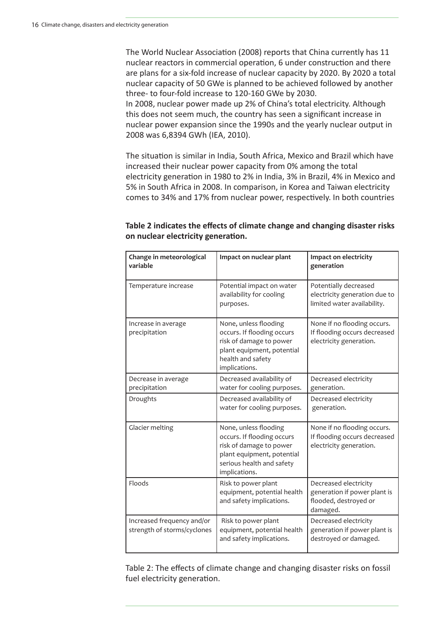The World Nuclear Association (2008) reports that China currently has 11 nuclear reactors in commercial operation, 6 under construction and there are plans for a six-fold increase of nuclear capacity by 2020. By 2020 a total nuclear capacity of 50 GWe is planned to be achieved followed by another three- to four-fold increase to 120-160 GWe by 2030.

In 2008, nuclear power made up 2% of China's total electricity. Although this does not seem much, the country has seen a significant increase in nuclear power expansion since the 1990s and the yearly nuclear output in 2008 was 6,8394 GWh (IEA, 2010).

The situation is similar in India, South Africa, Mexico and Brazil which have increased their nuclear power capacity from 0% among the total electricity generation in 1980 to 2% in India, 3% in Brazil, 4% in Mexico and 5% in South Africa in 2008. In comparison, in Korea and Taiwan electricity comes to 34% and 17% from nuclear power, respectively. In both countries

| Change in meteorological<br>variable                      | Impact on nuclear plant                                                                                                                                    | Impact on electricity<br>generation                                                        |
|-----------------------------------------------------------|------------------------------------------------------------------------------------------------------------------------------------------------------------|--------------------------------------------------------------------------------------------|
| Temperature increase                                      | Potential impact on water<br>availability for cooling<br>purposes.                                                                                         | Potentially decreased<br>electricity generation due to<br>limited water availability.      |
| Increase in average<br>precipitation                      | None, unless flooding<br>occurs. If flooding occurs<br>risk of damage to power<br>plant equipment, potential<br>health and safety<br>implications.         | None if no flooding occurs.<br>If flooding occurs decreased<br>electricity generation.     |
| Decrease in average<br>precipitation                      | Decreased availability of<br>water for cooling purposes.                                                                                                   | Decreased electricity<br>generation.                                                       |
| Droughts                                                  | Decreased availability of<br>water for cooling purposes.                                                                                                   | Decreased electricity<br>generation.                                                       |
| <b>Glacier melting</b>                                    | None, unless flooding<br>occurs. If flooding occurs<br>risk of damage to power<br>plant equipment, potential<br>serious health and safety<br>implications. | None if no flooding occurs.<br>If flooding occurs decreased<br>electricity generation.     |
| Floods                                                    | Risk to power plant<br>equipment, potential health<br>and safety implications.                                                                             | Decreased electricity<br>generation if power plant is<br>flooded, destroyed or<br>damaged. |
| Increased frequency and/or<br>strength of storms/cyclones | Risk to power plant<br>equipment, potential health<br>and safety implications.                                                                             | Decreased electricity<br>generation if power plant is<br>destroyed or damaged.             |

Table 2 indicates the effects of climate change and changing disaster risks **on nuclear electricity generation.** 

Table 2: The effects of climate change and changing disaster risks on fossil fuel electricity generation.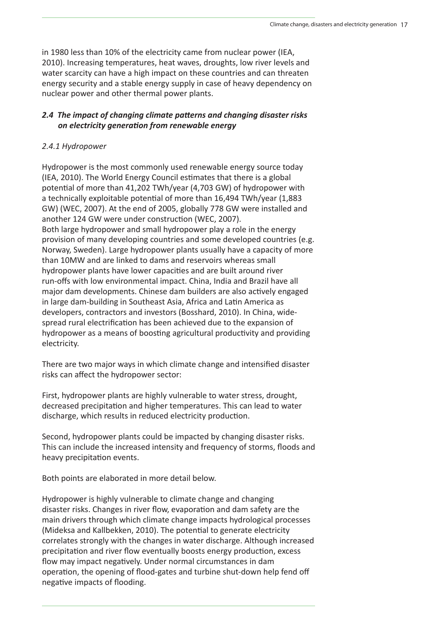in 1980 less than 10% of the electricity came from nuclear power (IEA, 2010). Increasing temperatures, heat waves, droughts, low river levels and water scarcity can have a high impact on these countries and can threaten energy security and a stable energy supply in case of heavy dependency on nuclear power and other thermal power plants.

#### *2.4 The impact of changing climate paƩ erns and changing disaster risks on electricity generaƟ on from renewable energy*

#### *2.4.1 Hydropower*

Hydropower is the most commonly used renewable energy source today (IEA, 2010). The World Energy Council estimates that there is a global potential of more than 41,202 TWh/year (4,703 GW) of hydropower with a technically exploitable potential of more than 16,494 TWh/year (1,883 GW) (WEC, 2007). At the end of 2005, globally 778 GW were installed and another 124 GW were under construction (WEC, 2007). Both large hydropower and small hydropower play a role in the energy provision of many developing countries and some developed countries (e.g. Norway, Sweden). Large hydropower plants usually have a capacity of more than 10MW and are linked to dams and reservoirs whereas small hydropower plants have lower capacities and are built around river run-offs with low environmental impact. China, India and Brazil have all major dam developments. Chinese dam builders are also actively engaged in large dam-building in Southeast Asia, Africa and Latin America as developers, contractors and investors (Bosshard, 2010). In China, widespread rural electrification has been achieved due to the expansion of hydropower as a means of boosting agricultural productivity and providing electricity.

There are two major ways in which climate change and intensified disaster risks can affect the hydropower sector:

First, hydropower plants are highly vulnerable to water stress, drought, decreased precipitation and higher temperatures. This can lead to water discharge, which results in reduced electricity production.

Second, hydropower plants could be impacted by changing disaster risks. This can include the increased intensity and frequency of storms, floods and heavy precipitation events.

Both points are elaborated in more detail below.

Hydropower is highly vulnerable to climate change and changing disaster risks. Changes in river flow, evaporation and dam safety are the main drivers through which climate change impacts hydrological processes (Mideksa and Kallbekken, 2010). The potential to generate electricity correlates strongly with the changes in water discharge. Although increased precipitation and river flow eventually boosts energy production, excess flow may impact negatively. Under normal circumstances in dam operation, the opening of flood-gates and turbine shut-down help fend off negative impacts of flooding.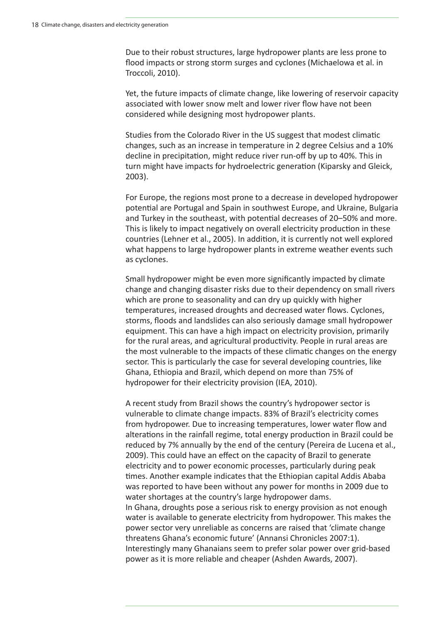Due to their robust structures, large hydropower plants are less prone to flood impacts or strong storm surges and cyclones (Michaelowa et al. in Troccoli, 2010).

Yet, the future impacts of climate change, like lowering of reservoir capacity associated with lower snow melt and lower river flow have not been considered while designing most hydropower plants.

Studies from the Colorado River in the US suggest that modest climatic changes, such as an increase in temperature in 2 degree Celsius and a 10% decline in precipitation, might reduce river run-off by up to 40%. This in turn might have impacts for hydroelectric generation (Kiparsky and Gleick, 2003).

For Europe, the regions most prone to a decrease in developed hydropower potenƟ al are Portugal and Spain in southwest Europe, and Ukraine, Bulgaria and Turkey in the southeast, with potential decreases of 20–50% and more. This is likely to impact negatively on overall electricity production in these countries (Lehner et al., 2005). In addition, it is currently not well explored what happens to large hydropower plants in extreme weather events such as cyclones.

Small hydropower might be even more significantly impacted by climate change and changing disaster risks due to their dependency on small rivers which are prone to seasonality and can dry up quickly with higher temperatures, increased droughts and decreased water flows. Cyclones, storms, floods and landslides can also seriously damage small hydropower equipment. This can have a high impact on electricity provision, primarily for the rural areas, and agricultural productivity. People in rural areas are the most vulnerable to the impacts of these climatic changes on the energy sector. This is particularly the case for several developing countries, like Ghana, Ethiopia and Brazil, which depend on more than 75% of hydropower for their electricity provision (IEA, 2010).

A recent study from Brazil shows the country's hydropower sector is vulnerable to climate change impacts. 83% of Brazil's electricity comes from hydropower. Due to increasing temperatures, lower water flow and alterations in the rainfall regime, total energy production in Brazil could be reduced by 7% annually by the end of the century (Pereira de Lucena et al., 2009). This could have an effect on the capacity of Brazil to generate electricity and to power economic processes, particularly during peak times. Another example indicates that the Ethiopian capital Addis Ababa was reported to have been without any power for months in 2009 due to water shortages at the country's large hydropower dams. In Ghana, droughts pose a serious risk to energy provision as not enough water is available to generate electricity from hydropower. This makes the power sector very unreliable as concerns are raised that 'climate change threatens Ghana's economic future' (Annansi Chronicles 2007:1). Interestingly many Ghanaians seem to prefer solar power over grid-based power as it is more reliable and cheaper (Ashden Awards, 2007).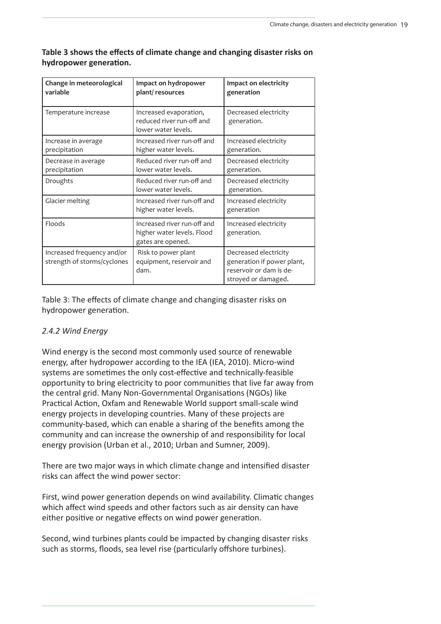| Change in meteorological<br>variable                      | Impact on hydropower<br>plant/resources                                        | Impact on electricity<br>generation                                                                   |
|-----------------------------------------------------------|--------------------------------------------------------------------------------|-------------------------------------------------------------------------------------------------------|
| Temperature increase                                      | Increased evaporation,<br>reduced river run-off and<br>lower water levels.     | Decreased electricity<br>generation.                                                                  |
| Increase in average<br>precipitation                      | Increased river run-off and<br>higher water levels.                            | Increased electricity<br>generation.                                                                  |
| Decrease in average<br>precipitation                      | Reduced river run-off and<br>lower water levels.                               | Decreased electricity<br>generation.                                                                  |
| Droughts                                                  | Reduced river run-off and<br>lower water levels.                               | Decreased electricity<br>generation.                                                                  |
| Glacier melting                                           | Increased river run-off and<br>higher water levels.                            | Increased electricity<br>generation                                                                   |
| Floods                                                    | Increased river run-off and<br>higher water levels. Flood<br>gates are opened. | Increased electricity<br>generation.                                                                  |
| Increased frequency and/or<br>strength of storms/cyclones | Risk to power plant<br>equipment, reservoir and<br>dam.                        | Decreased electricity<br>generation if power plant,<br>reservoir or dam is de-<br>stroyed or damaged. |

#### Table 3 shows the effects of climate change and changing disaster risks on **hydropower generation.**

Table 3: The effects of climate change and changing disaster risks on hydropower generation.

#### *2.4.2 Wind Energy*

Wind energy is the second most commonly used source of renewable energy, after hydropower according to the IEA (IEA, 2010). Micro-wind systems are sometimes the only cost-effective and technically-feasible opportunity to bring electricity to poor communities that live far away from the central grid. Many Non-Governmental Organisations (NGOs) like Practical Action, Oxfam and Renewable World support small-scale wind energy projects in developing countries. Many of these projects are community-based, which can enable a sharing of the benefits among the community and can increase the ownership of and responsibility for local energy provision (Urban et al., 2010; Urban and Sumner, 2009).

There are two major ways in which climate change and intensified disaster risks can affect the wind power sector:

First, wind power generation depends on wind availability. Climatic changes which affect wind speeds and other factors such as air density can have either positive or negative effects on wind power generation.

Second, wind turbines plants could be impacted by changing disaster risks such as storms, floods, sea level rise (particularly offshore turbines).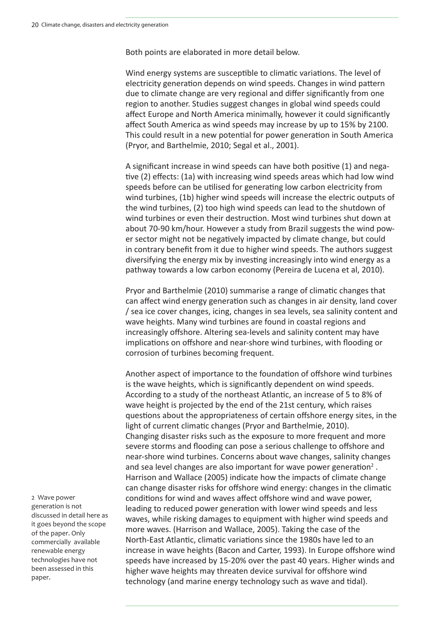Both points are elaborated in more detail below.

Wind energy systems are susceptible to climatic variations. The level of electricity generation depends on wind speeds. Changes in wind pattern due to climate change are very regional and differ significantly from one region to another. Studies suggest changes in global wind speeds could affect Europe and North America minimally, however it could significantly affect South America as wind speeds may increase by up to 15% by 2100. This could result in a new potential for power generation in South America (Pryor, and Barthelmie, 2010; Segal et al., 2001).

A significant increase in wind speeds can have both positive (1) and negative (2) effects: (1a) with increasing wind speeds areas which had low wind speeds before can be utilised for generating low carbon electricity from wind turbines, (1b) higher wind speeds will increase the electric outputs of the wind turbines, (2) too high wind speeds can lead to the shutdown of wind turbines or even their destruction. Most wind turbines shut down at about 70-90 km/hour. However a study from Brazil suggests the wind power sector might not be negatively impacted by climate change, but could in contrary benefit from it due to higher wind speeds. The authors suggest diversifying the energy mix by investing increasingly into wind energy as a pathway towards a low carbon economy (Pereira de Lucena et al, 2010).

Pryor and Barthelmie (2010) summarise a range of climatic changes that can affect wind energy generation such as changes in air density, land cover / sea ice cover changes, icing, changes in sea levels, sea salinity content and wave heights. Many wind turbines are found in coastal regions and increasingly offshore. Altering sea-levels and salinity content may have implications on offshore and near-shore wind turbines, with flooding or corrosion of turbines becoming frequent.

Another aspect of importance to the foundation of offshore wind turbines is the wave heights, which is significantly dependent on wind speeds. According to a study of the northeast Atlantic, an increase of 5 to 8% of wave height is projected by the end of the 21st century, which raises questions about the appropriateness of certain offshore energy sites, in the light of current climatic changes (Pryor and Barthelmie, 2010). Changing disaster risks such as the exposure to more frequent and more severe storms and flooding can pose a serious challenge to offshore and near-shore wind turbines. Concerns about wave changes, salinity changes and sea level changes are also important for wave power generation<sup>2</sup>. Harrison and Wallace (2005) indicate how the impacts of climate change can change disaster risks for offshore wind energy: changes in the climatic conditions for wind and waves affect offshore wind and wave power, leading to reduced power generation with lower wind speeds and less waves, while risking damages to equipment with higher wind speeds and more waves. (Harrison and Wallace, 2005). Taking the case of the North-East Atlantic, climatic variations since the 1980s have led to an increase in wave heights (Bacon and Carter, 1993). In Europe offshore wind speeds have increased by 15-20% over the past 40 years. Higher winds and higher wave heights may threaten device survival for offshore wind technology (and marine energy technology such as wave and tidal).

2 Wave power generation is not discussed in detail here as it goes beyond the scope of the paper. Only commercially available renewable energy technologies have not been assessed in this paper.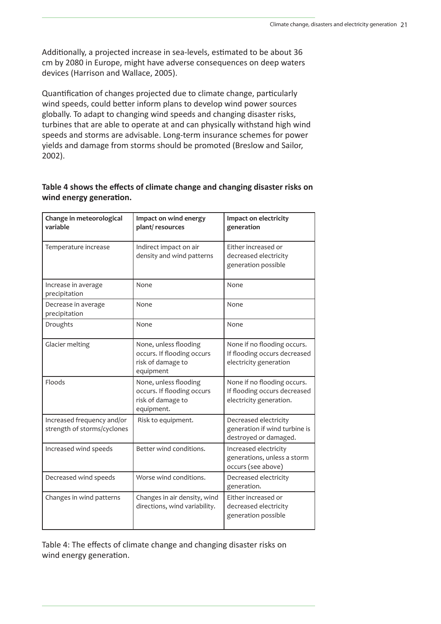Additionally, a projected increase in sea-levels, estimated to be about 36 cm by 2080 in Europe, might have adverse consequences on deep waters devices (Harrison and Wallace, 2005).

Quantification of changes projected due to climate change, particularly wind speeds, could better inform plans to develop wind power sources globally. To adapt to changing wind speeds and changing disaster risks, turbines that are able to operate at and can physically withstand high wind speeds and storms are advisable. Long-term insurance schemes for power yields and damage from storms should be promoted (Breslow and Sailor, 2002).

#### Table 4 shows the effects of climate change and changing disaster risks on **wind energy generation.**

| Change in meteorological<br>variable                      | Impact on wind energy<br>plant/resources                                               | Impact on electricity<br>generation                                                    |
|-----------------------------------------------------------|----------------------------------------------------------------------------------------|----------------------------------------------------------------------------------------|
| Temperature increase                                      | Indirect impact on air<br>density and wind patterns                                    | Either increased or<br>decreased electricity<br>generation possible                    |
| Increase in average<br>precipitation                      | None                                                                                   | None                                                                                   |
| Decrease in average<br>precipitation                      | None                                                                                   | None                                                                                   |
| Droughts                                                  | None                                                                                   | None                                                                                   |
| Glacier melting                                           | None, unless flooding<br>occurs. If flooding occurs<br>risk of damage to<br>equipment  | None if no flooding occurs.<br>If flooding occurs decreased<br>electricity generation  |
| Floods                                                    | None, unless flooding<br>occurs. If flooding occurs<br>risk of damage to<br>equipment. | None if no flooding occurs.<br>If flooding occurs decreased<br>electricity generation. |
| Increased frequency and/or<br>strength of storms/cyclones | Risk to equipment.                                                                     | Decreased electricity<br>generation if wind turbine is<br>destroyed or damaged.        |
| Increased wind speeds                                     | Better wind conditions.                                                                | Increased electricity<br>generations, unless a storm<br>occurs (see above)             |
| Decreased wind speeds                                     | Worse wind conditions.                                                                 | Decreased electricity<br>generation.                                                   |
| Changes in wind patterns                                  | Changes in air density, wind<br>directions, wind variability.                          | Either increased or<br>decreased electricity<br>generation possible                    |

Table 4: The effects of climate change and changing disaster risks on wind energy generation.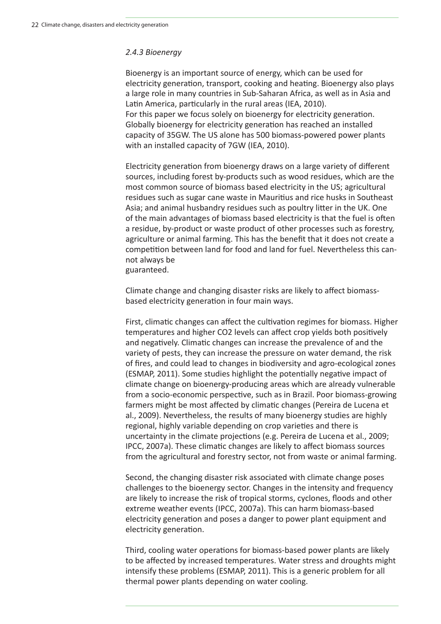#### *2.4.3 Bioenergy*

Bioenergy is an important source of energy, which can be used for electricity generation, transport, cooking and heating. Bioenergy also plays a large role in many countries in Sub-Saharan Africa, as well as in Asia and Latin America, particularly in the rural areas (IEA, 2010). For this paper we focus solely on bioenergy for electricity generation. Globally bioenergy for electricity generation has reached an installed capacity of 35GW. The US alone has 500 biomass-powered power plants with an installed capacity of 7GW (IEA, 2010).

Electricity generation from bioenergy draws on a large variety of different sources, including forest by-products such as wood residues, which are the most common source of biomass based electricity in the US; agricultural residues such as sugar cane waste in Mauritius and rice husks in Southeast Asia; and animal husbandry residues such as poultry litter in the UK. One of the main advantages of biomass based electricity is that the fuel is often a residue, by-product or waste product of other processes such as forestry, agriculture or animal farming. This has the benefit that it does not create a competition between land for food and land for fuel. Nevertheless this cannot always be

guaranteed.

Climate change and changing disaster risks are likely to affect biomassbased electricity generation in four main ways.

First, climatic changes can affect the cultivation regimes for biomass. Higher temperatures and higher CO2 levels can affect crop yields both positively and negatively. Climatic changes can increase the prevalence of and the variety of pests, they can increase the pressure on water demand, the risk of fires, and could lead to changes in biodiversity and agro-ecological zones (ESMAP, 2011). Some studies highlight the potentially negative impact of climate change on bioenergy-producing areas which are already vulnerable from a socio-economic perspective, such as in Brazil. Poor biomass-growing farmers might be most affected by climatic changes (Pereira de Lucena et al., 2009). Nevertheless, the results of many bioenergy studies are highly regional, highly variable depending on crop varieties and there is uncertainty in the climate projections (e.g. Pereira de Lucena et al., 2009; IPCC, 2007a). These climatic changes are likely to affect biomass sources from the agricultural and forestry sector, not from waste or animal farming.

Second, the changing disaster risk associated with climate change poses challenges to the bioenergy sector. Changes in the intensity and frequency are likely to increase the risk of tropical storms, cyclones, floods and other extreme weather events (IPCC, 2007a). This can harm biomass-based electricity generation and poses a danger to power plant equipment and electricity generation.

Third, cooling water operations for biomass-based power plants are likely to be affected by increased temperatures. Water stress and droughts might intensify these problems (ESMAP, 2011). This is a generic problem for all thermal power plants depending on water cooling.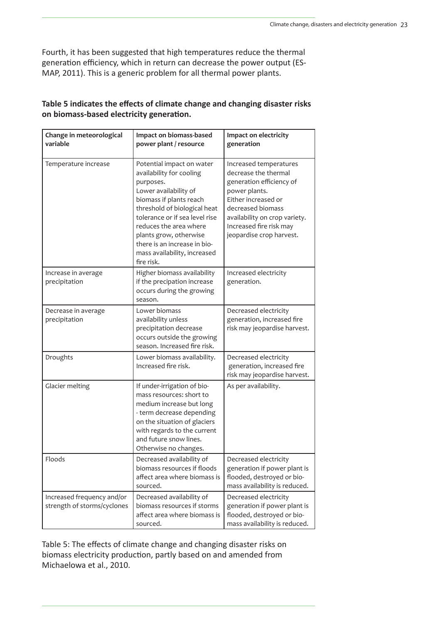Fourth, it has been suggested that high temperatures reduce the thermal generation efficiency, which in return can decrease the power output (ES-MAP, 2011). This is a generic problem for all thermal power plants.

## Table 5 indicates the effects of climate change and changing disaster risks **on biomass-based electricity generaƟ on.**

| Change in meteorological<br>variable                      | Impact on biomass-based<br>power plant / resource                                                                                                                                                                                                                                                                          | Impact on electricity<br>generation                                                                                                                                                                                             |
|-----------------------------------------------------------|----------------------------------------------------------------------------------------------------------------------------------------------------------------------------------------------------------------------------------------------------------------------------------------------------------------------------|---------------------------------------------------------------------------------------------------------------------------------------------------------------------------------------------------------------------------------|
| Temperature increase                                      | Potential impact on water<br>availability for cooling<br>purposes.<br>Lower availability of<br>biomass if plants reach<br>threshold of biological heat<br>tolerance or if sea level rise<br>reduces the area where<br>plants grow, otherwise<br>there is an increase in bio-<br>mass availability, increased<br>fire risk. | Increased temperatures<br>decrease the thermal<br>generation efficiency of<br>power plants.<br>Either increased or<br>decreased biomass<br>availability on crop variety.<br>Increased fire risk may<br>jeopardise crop harvest. |
| Increase in average<br>precipitation                      | Higher biomass availability<br>if the precipation increase<br>occurs during the growing<br>season.                                                                                                                                                                                                                         | Increased electricity<br>generation.                                                                                                                                                                                            |
| Decrease in average<br>precipitation                      | Lower biomass<br>availability unless<br>precipitation decrease<br>occurs outside the growing<br>season. Increased fire risk.                                                                                                                                                                                               | Decreased electricity<br>generation, increased fire<br>risk may jeopardise harvest.                                                                                                                                             |
| Droughts                                                  | Lower biomass availability.<br>Increased fire risk.                                                                                                                                                                                                                                                                        | Decreased electricity<br>generation, increased fire<br>risk may jeopardise harvest.                                                                                                                                             |
| Glacier melting                                           | If under-irrigation of bio-<br>mass resources: short to<br>medium increase but long<br>- term decrease depending<br>on the situation of glaciers<br>with regards to the current<br>and future snow lines.<br>Otherwise no changes.                                                                                         | As per availability.                                                                                                                                                                                                            |
| Floods                                                    | Decreased availability of<br>biomass resources if floods<br>affect area where biomass is<br>sourced.                                                                                                                                                                                                                       | Decreased electricity<br>generation if power plant is<br>flooded, destroyed or bio-<br>mass availability is reduced.                                                                                                            |
| Increased frequency and/or<br>strength of storms/cyclones | Decreased availability of<br>biomass resources if storms<br>affect area where biomass is<br>sourced.                                                                                                                                                                                                                       | Decreased electricity<br>generation if power plant is<br>flooded, destroyed or bio-<br>mass availability is reduced.                                                                                                            |

Table 5: The effects of climate change and changing disaster risks on biomass electricity production, partly based on and amended from Michaelowa et al., 2010.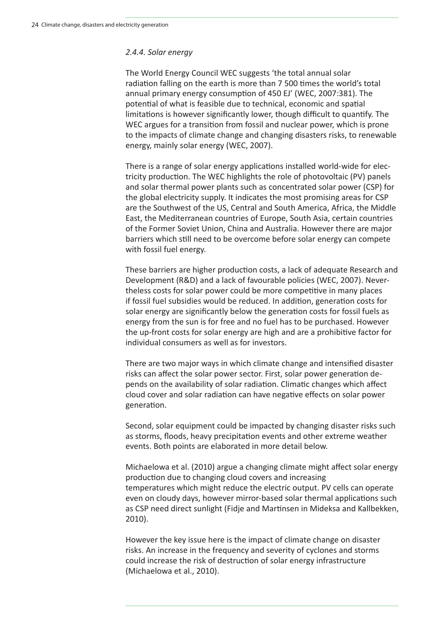#### *2.4.4. Solar energy*

The World Energy Council WEC suggests 'the total annual solar radiation falling on the earth is more than 7 500 times the world's total annual primary energy consumption of 450 EJ' (WEC, 2007:381). The potential of what is feasible due to technical, economic and spatial limitations is however significantly lower, though difficult to quantify. The WEC argues for a transition from fossil and nuclear power, which is prone to the impacts of climate change and changing disasters risks, to renewable energy, mainly solar energy (WEC, 2007).

There is a range of solar energy applications installed world-wide for electricity production. The WEC highlights the role of photovoltaic (PV) panels and solar thermal power plants such as concentrated solar power (CSP) for the global electricity supply. It indicates the most promising areas for CSP are the Southwest of the US, Central and South America, Africa, the Middle East, the Mediterranean countries of Europe, South Asia, certain countries of the Former Soviet Union, China and Australia. However there are major barriers which still need to be overcome before solar energy can compete with fossil fuel energy.

These barriers are higher production costs, a lack of adequate Research and Development (R&D) and a lack of favourable policies (WEC, 2007). Nevertheless costs for solar power could be more competitive in many places if fossil fuel subsidies would be reduced. In addition, generation costs for solar energy are significantly below the generation costs for fossil fuels as energy from the sun is for free and no fuel has to be purchased. However the up-front costs for solar energy are high and are a prohibitive factor for individual consumers as well as for investors.

There are two major ways in which climate change and intensified disaster risks can affect the solar power sector. First, solar power generation depends on the availability of solar radiation. Climatic changes which affect cloud cover and solar radiation can have negative effects on solar power generation.

Second, solar equipment could be impacted by changing disaster risks such as storms, floods, heavy precipitation events and other extreme weather events. Both points are elaborated in more detail below.

Michaelowa et al. (2010) argue a changing climate might affect solar energy production due to changing cloud covers and increasing temperatures which might reduce the electric output. PV cells can operate even on cloudy days, however mirror-based solar thermal applications such as CSP need direct sunlight (Fidje and Martinsen in Mideksa and Kallbekken, 2010).

However the key issue here is the impact of climate change on disaster risks. An increase in the frequency and severity of cyclones and storms could increase the risk of destruction of solar energy infrastructure (Michaelowa et al., 2010).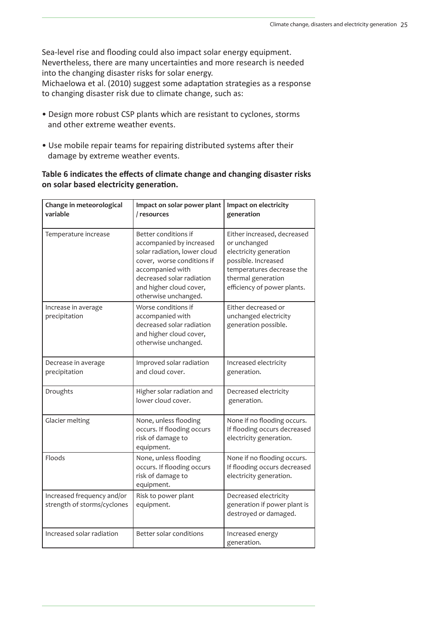Sea-level rise and flooding could also impact solar energy equipment. Nevertheless, there are many uncertainties and more research is needed into the changing disaster risks for solar energy. Michaelowa et al. (2010) suggest some adaptation strategies as a response to changing disaster risk due to climate change, such as:

- Design more robust CSP plants which are resistant to cyclones, storms and other extreme weather events.
- Use mobile repair teams for repairing distributed systems after their damage by extreme weather events.

#### Table 6 indicates the effects of climate change and changing disaster risks **on solar based electricity generation.**

| Change in meteorological<br>variable                      | Impact on solar power plant<br>/ resources                                                                                                                                                                         | Impact on electricity<br>generation                                                                                                                                            |
|-----------------------------------------------------------|--------------------------------------------------------------------------------------------------------------------------------------------------------------------------------------------------------------------|--------------------------------------------------------------------------------------------------------------------------------------------------------------------------------|
| Temperature increase                                      | Better conditions if<br>accompanied by increased<br>solar radiation, lower cloud<br>cover, worse conditions if<br>accompanied with<br>decreased solar radiation<br>and higher cloud cover,<br>otherwise unchanged. | Either increased, decreased<br>or unchanged<br>electricity generation<br>possible. Increased<br>temperatures decrease the<br>thermal generation<br>efficiency of power plants. |
| Increase in average<br>precipitation                      | Worse conditions if<br>accompanied with<br>decreased solar radiation<br>and higher cloud cover,<br>otherwise unchanged.                                                                                            | Either decreased or<br>unchanged electricity<br>generation possible.                                                                                                           |
| Decrease in average<br>precipitation                      | Improved solar radiation<br>and cloud cover.                                                                                                                                                                       | Increased electricity<br>generation.                                                                                                                                           |
| Droughts                                                  | Higher solar radiation and<br>lower cloud cover.                                                                                                                                                                   | Decreased electricity<br>generation.                                                                                                                                           |
| Glacier melting                                           | None, unless flooding<br>occurs. If flooding occurs<br>risk of damage to<br>equipment.                                                                                                                             | None if no flooding occurs.<br>If flooding occurs decreased<br>electricity generation.                                                                                         |
| Floods                                                    | None, unless flooding<br>occurs. If flooding occurs<br>risk of damage to<br>equipment.                                                                                                                             | None if no flooding occurs.<br>If flooding occurs decreased<br>electricity generation.                                                                                         |
| Increased frequency and/or<br>strength of storms/cyclones | Risk to power plant<br>equipment.                                                                                                                                                                                  | Decreased electricity<br>generation if power plant is<br>destroyed or damaged.                                                                                                 |
| Increased solar radiation                                 | Better solar conditions                                                                                                                                                                                            | Increased energy<br>generation.                                                                                                                                                |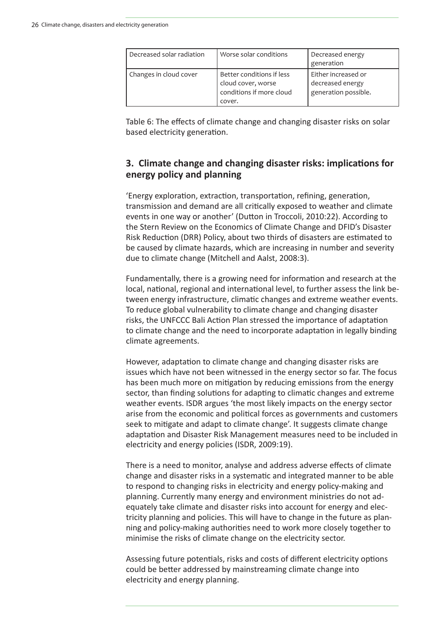| Decreased solar radiation | Worse solar conditions                                                                | Decreased energy<br>generation                                  |
|---------------------------|---------------------------------------------------------------------------------------|-----------------------------------------------------------------|
| Changes in cloud cover    | Better conditions if less<br>cloud cover, worse<br>conditions if more cloud<br>cover. | Either increased or<br>decreased energy<br>generation possible. |

Table 6: The effects of climate change and changing disaster risks on solar based electricity generation.

#### **3. Climate change and changing disaster risks: implications for energy policy and planning**

'Energy exploration, extraction, transportation, refining, generation, transmission and demand are all critically exposed to weather and climate events in one way or another' (Dutton in Troccoli, 2010:22). According to the Stern Review on the Economics of Climate Change and DFID's Disaster Risk Reduction (DRR) Policy, about two thirds of disasters are estimated to be caused by climate hazards, which are increasing in number and severity due to climate change (Mitchell and Aalst, 2008:3).

Fundamentally, there is a growing need for information and research at the local, national, regional and international level, to further assess the link between energy infrastructure, climatic changes and extreme weather events. To reduce global vulnerability to climate change and changing disaster risks, the UNFCCC Bali Action Plan stressed the importance of adaptation to climate change and the need to incorporate adaptation in legally binding climate agreements.

However, adaptation to climate change and changing disaster risks are issues which have not been witnessed in the energy sector so far. The focus has been much more on mitigation by reducing emissions from the energy sector, than finding solutions for adapting to climatic changes and extreme weather events. ISDR argues 'the most likely impacts on the energy sector arise from the economic and political forces as governments and customers seek to mitigate and adapt to climate change'. It suggests climate change adaptation and Disaster Risk Management measures need to be included in electricity and energy policies (ISDR, 2009:19).

There is a need to monitor, analyse and address adverse effects of climate change and disaster risks in a systematic and integrated manner to be able to respond to changing risks in electricity and energy policy-making and planning. Currently many energy and environment ministries do not adequately take climate and disaster risks into account for energy and electricity planning and policies. This will have to change in the future as planning and policy-making authorities need to work more closely together to minimise the risks of climate change on the electricity sector.

Assessing future potentials, risks and costs of different electricity options could be better addressed by mainstreaming climate change into electricity and energy planning.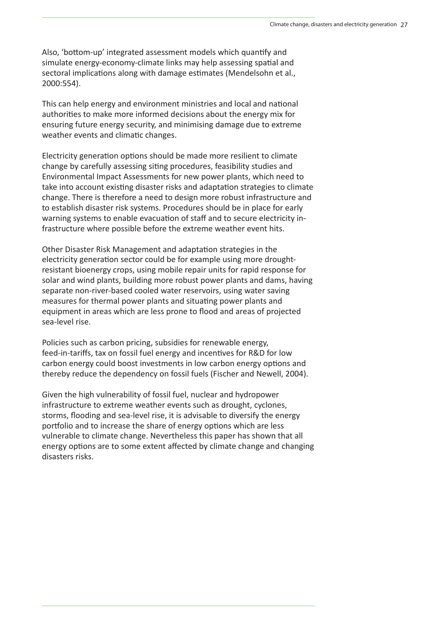Also, 'bottom-up' integrated assessment models which quantify and simulate energy-economy-climate links may help assessing spatial and sectoral implications along with damage estimates (Mendelsohn et al., 2000:554).

This can help energy and environment ministries and local and national authorities to make more informed decisions about the energy mix for ensuring future energy security, and minimising damage due to extreme weather events and climatic changes.

Electricity generation options should be made more resilient to climate change by carefully assessing siting procedures, feasibility studies and Environmental Impact Assessments for new power plants, which need to take into account existing disaster risks and adaptation strategies to climate change. There is therefore a need to design more robust infrastructure and to establish disaster risk systems. Procedures should be in place for early warning systems to enable evacuation of staff and to secure electricity infrastructure where possible before the extreme weather event hits.

Other Disaster Risk Management and adaptation strategies in the electricity generation sector could be for example using more droughtresistant bioenergy crops, using mobile repair units for rapid response for solar and wind plants, building more robust power plants and dams, having separate non-river-based cooled water reservoirs, using water saving measures for thermal power plants and situating power plants and equipment in areas which are less prone to flood and areas of projected sea-level rise.

Policies such as carbon pricing, subsidies for renewable energy, feed-in-tariffs, tax on fossil fuel energy and incentives for R&D for low carbon energy could boost investments in low carbon energy options and thereby reduce the dependency on fossil fuels (Fischer and Newell, 2004).

Given the high vulnerability of fossil fuel, nuclear and hydropower infrastructure to extreme weather events such as drought, cyclones, storms, flooding and sea-level rise, it is advisable to diversify the energy portfolio and to increase the share of energy options which are less vulnerable to climate change. Nevertheless this paper has shown that all energy options are to some extent affected by climate change and changing disasters risks.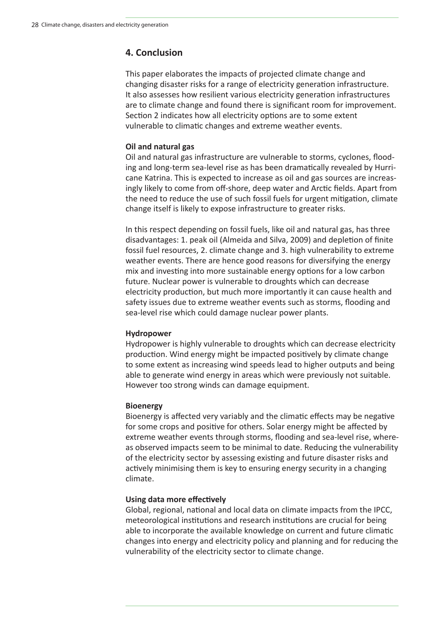## **4. Conclusion**

This paper elaborates the impacts of projected climate change and changing disaster risks for a range of electricity generation infrastructure. It also assesses how resilient various electricity generation infrastructures are to climate change and found there is significant room for improvement. Section 2 indicates how all electricity options are to some extent vulnerable to climatic changes and extreme weather events.

#### **Oil and natural gas**

Oil and natural gas infrastructure are vulnerable to storms, cyclones, flooding and long-term sea-level rise as has been dramatically revealed by Hurricane Katrina. This is expected to increase as oil and gas sources are increasingly likely to come from off-shore, deep water and Arctic fields. Apart from the need to reduce the use of such fossil fuels for urgent mitigation, climate change itself is likely to expose infrastructure to greater risks.

In this respect depending on fossil fuels, like oil and natural gas, has three disadvantages: 1. peak oil (Almeida and Silva, 2009) and depletion of finite fossil fuel resources, 2. climate change and 3. high vulnerability to extreme weather events. There are hence good reasons for diversifying the energy mix and investing into more sustainable energy options for a low carbon future. Nuclear power is vulnerable to droughts which can decrease electricity production, but much more importantly it can cause health and safety issues due to extreme weather events such as storms, flooding and sea-level rise which could damage nuclear power plants.

#### **Hydropower**

Hydropower is highly vulnerable to droughts which can decrease electricity production. Wind energy might be impacted positively by climate change to some extent as increasing wind speeds lead to higher outputs and being able to generate wind energy in areas which were previously not suitable. However too strong winds can damage equipment.

#### **Bioenergy**

Bioenergy is affected very variably and the climatic effects may be negative for some crops and positive for others. Solar energy might be affected by extreme weather events through storms, flooding and sea-level rise, whereas observed impacts seem to be minimal to date. Reducing the vulnerability of the electricity sector by assessing existing and future disaster risks and actively minimising them is key to ensuring energy security in a changing climate.

#### **Using data more effectively**

Global, regional, national and local data on climate impacts from the IPCC, meteorological institutions and research institutions are crucial for being able to incorporate the available knowledge on current and future climatic changes into energy and electricity policy and planning and for reducing the vulnerability of the electricity sector to climate change.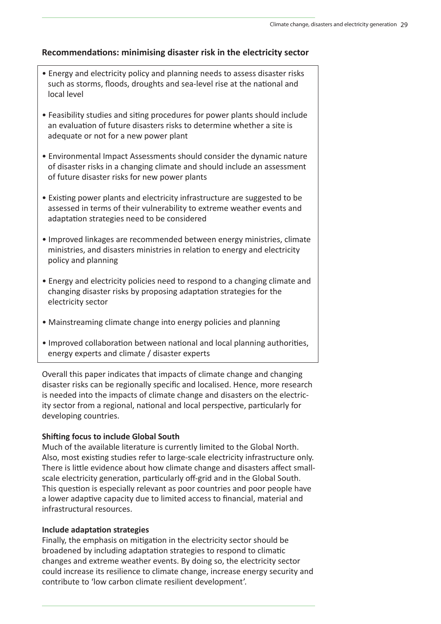#### **RecommendaƟ ons: minimising disaster risk in the electricity sector**

- Energy and electricity policy and planning needs to assess disaster risks such as storms, floods, droughts and sea-level rise at the national and local level
- Feasibility studies and siting procedures for power plants should include an evaluation of future disasters risks to determine whether a site is adequate or not for a new power plant
- Environmental Impact Assessments should consider the dynamic nature of disaster risks in a changing climate and should include an assessment of future disaster risks for new power plants
- Existing power plants and electricity infrastructure are suggested to be assessed in terms of their vulnerability to extreme weather events and adaptation strategies need to be considered
- Improved linkages are recommended between energy ministries, climate ministries, and disasters ministries in relation to energy and electricity policy and planning
- Energy and electricity policies need to respond to a changing climate and changing disaster risks by proposing adaptation strategies for the electricity sector
- Mainstreaming climate change into energy policies and planning
- Improved collaboration between national and local planning authorities, energy experts and climate / disaster experts

Overall this paper indicates that impacts of climate change and changing disaster risks can be regionally specific and localised. Hence, more research is needed into the impacts of climate change and disasters on the electricity sector from a regional, national and local perspective, particularly for developing countries.

#### **Shifting focus to include Global South**

Much of the available literature is currently limited to the Global North. Also, most existing studies refer to large-scale electricity infrastructure only. There is little evidence about how climate change and disasters affect smallscale electricity generation, particularly off-grid and in the Global South. This question is especially relevant as poor countries and poor people have a lower adaptive capacity due to limited access to financial, material and infrastructural resources.

#### **Include adaptaƟ on strategies**

Finally, the emphasis on mitigation in the electricity sector should be broadened by including adaptation strategies to respond to climatic changes and extreme weather events. By doing so, the electricity sector could increase its resilience to climate change, increase energy security and contribute to 'low carbon climate resilient development'.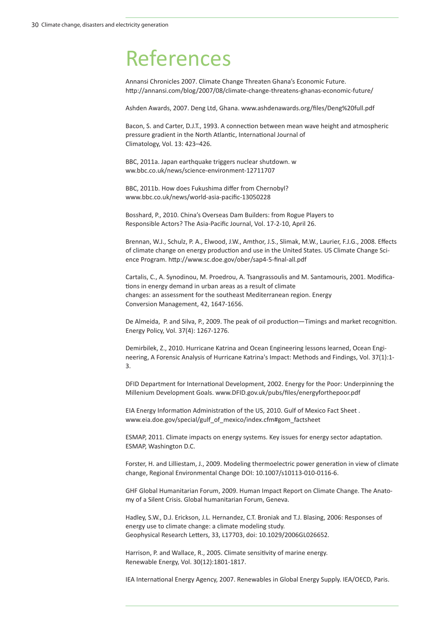## References

Annansi Chronicles 2007. Climate Change Threaten Ghana's Economic Future. http://annansi.com/blog/2007/08/climate-change-threatens-ghanas-economic-future/

Ashden Awards, 2007. Deng Ltd, Ghana. www.ashdenawards.org/files/Deng%20full.pdf

Bacon, S. and Carter, D.J.T., 1993. A connection between mean wave height and atmospheric pressure gradient in the North Atlantic, International Journal of Climatology, Vol. 13: 423–426.

BBC, 2011a. Japan earthquake triggers nuclear shutdown. w ww.bbc.co.uk/news/science-environment-12711707

BBC, 2011b. How does Fukushima differ from Chernobyl? www.bbc.co.uk/news/world-asia-pacific-13050228

Bosshard, P., 2010. China's Overseas Dam Builders: from Rogue Players to Responsible Actors? The Asia-Pacific Journal, Vol. 17-2-10, April 26.

Brennan, W.J., Schulz, P. A., Elwood, J.W., Amthor, J.S., Slimak, M.W., Laurier, F.J.G., 2008. Effects of climate change on energy production and use in the United States. US Climate Change Science Program. http://www.sc.doe.gov/ober/sap4-5-final-all.pdf

Cartalis, C., A. Synodinou, M. Proedrou, A. Tsangrassoulis and M. Santamouris, 2001. Modifications in energy demand in urban areas as a result of climate changes: an assessment for the southeast Mediterranean region. Energy Conversion Management, 42, 1647-1656.

De Almeida, P. and Silva, P., 2009. The peak of oil production—Timings and market recognition. Energy Policy, Vol. 37(4): 1267-1276.

Demirbilek, Z., 2010. Hurricane Katrina and Ocean Engineering lessons learned, Ocean Engineering, A Forensic Analysis of Hurricane Katrina's Impact: Methods and Findings, Vol. 37(1):1- 3.

DFID Department for International Development, 2002. Energy for the Poor: Underpinning the Millenium Development Goals. www.DFID.gov.uk/pubs/files/energyforthepoor.pdf

EIA Energy Information Administration of the US, 2010. Gulf of Mexico Fact Sheet. www.eia.doe.gov/special/gulf\_of\_mexico/index.cfm#gom\_factsheet

ESMAP, 2011. Climate impacts on energy systems. Key issues for energy sector adaptation. ESMAP, Washington D.C.

Forster, H. and Lilliestam, J., 2009. Modeling thermoelectric power generation in view of climate change, Regional Environmental Change DOI: 10.1007/s10113-010-0116-6.

GHF Global Humanitarian Forum, 2009. Human Impact Report on Climate Change. The Anatomy of a Silent Crisis. Global humanitarian Forum, Geneva.

Hadley, S.W., D.J. Erickson, J.L. Hernandez, C.T. Broniak and T.J. Blasing, 2006: Responses of energy use to climate change: a climate modeling study. Geophysical Research Letters, 33, L17703, doi: 10.1029/2006GL026652.

Harrison, P. and Wallace, R., 2005. Climate sensitivity of marine energy. Renewable Energy, Vol. 30(12):1801-1817.

IEA International Energy Agency, 2007. Renewables in Global Energy Supply. IEA/OECD, Paris.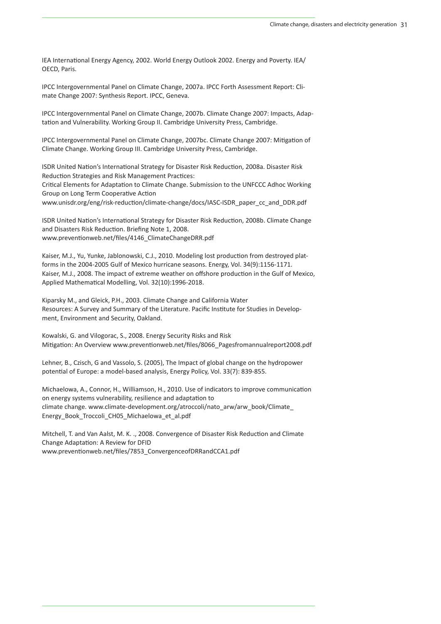IEA International Energy Agency, 2002. World Energy Outlook 2002. Energy and Poverty. IEA/ OECD, Paris.

IPCC Intergovernmental Panel on Climate Change, 2007a. IPCC Forth Assessment Report: Climate Change 2007: Synthesis Report. IPCC, Geneva.

IPCC Intergovernmental Panel on Climate Change, 2007b. Climate Change 2007: Impacts, Adaptation and Vulnerability. Working Group II. Cambridge University Press, Cambridge.

IPCC Intergovernmental Panel on Climate Change, 2007bc. Climate Change 2007: Mitigation of Climate Change. Working Group III. Cambridge University Press, Cambridge.

ISDR United Nation's International Strategy for Disaster Risk Reduction, 2008a. Disaster Risk Reduction Strategies and Risk Management Practices:

Critical Elements for Adaptation to Climate Change. Submission to the UNFCCC Adhoc Working Group on Long Term Cooperative Action

www.unisdr.org/eng/risk-reduction/climate-change/docs/IASC-ISDR\_paper\_cc\_and\_DDR.pdf

ISDR United Nation's International Strategy for Disaster Risk Reduction, 2008b. Climate Change and Disasters Risk Reduction. Briefing Note 1, 2008. www.preventionweb.net/files/4146\_ClimateChangeDRR.pdf

Kaiser, M.J., Yu, Yunke, Jablonowski, C.J., 2010. Modeling lost production from destroyed platforms in the 2004-2005 Gulf of Mexico hurricane seasons. Energy, Vol. 34(9):1156-1171. Kaiser, M.J., 2008. The impact of extreme weather on offshore production in the Gulf of Mexico, Applied Mathematical Modelling, Vol. 32(10):1996-2018.

Kiparsky M., and Gleick, P.H., 2003. Climate Change and California Water Resources: A Survey and Summary of the Literature. Pacific Institute for Studies in Development, Environment and Security, Oakland.

Kowalski, G. and Vilogorac, S., 2008. Energy Security Risks and Risk Mitigation: An Overview www.preventionweb.net/files/8066\_Pagesfromannualreport2008.pdf

Lehner, B., Czisch, G and Vassolo, S. (2005), The Impact of global change on the hydropower potential of Europe: a model-based analysis, Energy Policy, Vol. 33(7): 839-855.

Michaelowa, A., Connor, H., Williamson, H., 2010. Use of indicators to improve communication on energy systems vulnerability, resilience and adaptation to climate change. www.climate-development.org/atroccoli/nato\_arw/arw\_book/Climate\_ Energy\_Book\_Troccoli\_CH05\_Michaelowa\_et\_al.pdf

Mitchell, T. and Van Aalst, M. K. ., 2008. Convergence of Disaster Risk Reduction and Climate Change Adaptation: A Review for DFID www.preventionweb.net/files/7853\_ConvergenceofDRRandCCA1.pdf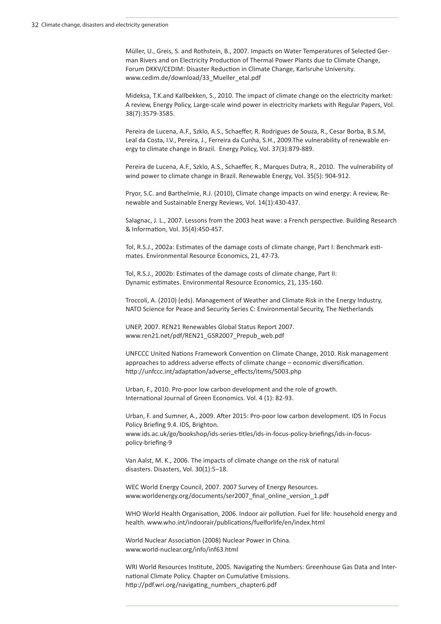Müller, U., Greis, S. and Rothstein, B., 2007. Impacts on Water Temperatures of Selected German Rivers and on Electricity Production of Thermal Power Plants due to Climate Change, Forum DKKV/CEDIM: Disaster Reduction in Climate Change, Karlsruhe University. www.cedim.de/download/33\_Mueller\_etal.pdf

Mideksa, T.K.and Kallbekken, S., 2010. The impact of climate change on the electricity market: A review, Energy Policy, Large-scale wind power in electricity markets with Regular Papers, Vol. 38(7):3579-3585.

Pereira de Lucena, A.F., Szklo, A.S., Schaeffer, R. Rodrigues de Souza, R., Cesar Borba, B.S.M, Leal da Costa, I.V., Pereira, J., Ferreira da Cunha, S.H., 2009.The vulnerability of renewable energy to climate change in Brazil. Energy Policy, Vol. 37(3):879-889.

Pereira de Lucena, A.F., Szklo, A.S., Schaeffer, R., Marques Dutra, R., 2010. The vulnerability of wind power to climate change in Brazil. Renewable Energy, Vol. 35(5): 904-912.

Pryor, S.C. and Barthelmie, R.J. (2010), Climate change impacts on wind energy: A review, Renewable and Sustainable Energy Reviews, Vol. 14(1):430-437.

Salagnac, J. L., 2007. Lessons from the 2003 heat wave: a French perspective. Building Research & Information, Vol. 35(4):450-457.

Tol, R.S.J., 2002a: Estimates of the damage costs of climate change, Part I: Benchmark estimates. Environmental Resource Economics, 21, 47-73.

Tol, R.S.J., 2002b: Estimates of the damage costs of climate change, Part II: Dynamic estimates. Environmental Resource Economics, 21, 135-160.

Troccoli, A. (2010) (eds). Management of Weather and Climate Risk in the Energy Industry, NATO Science for Peace and Security Series C: Environmental Security, The Netherlands

UNEP, 2007. REN21 Renewables Global Status Report 2007. www.ren21.net/pdf/REN21\_GSR2007\_Prepub\_web.pdf

UNFCCC United Nations Framework Convention on Climate Change, 2010. Risk management approaches to address adverse effects of climate change – economic diversification. http://unfccc.int/adaptation/adverse\_effects/items/5003.php

Urban, F., 2010. Pro-poor low carbon development and the role of growth. International Journal of Green Economics. Vol. 4 (1): 82-93.

Urban, F. and Sumner, A., 2009. After 2015: Pro-poor low carbon development. IDS In Focus Policy Briefing 9.4. IDS, Brighton. www.ids.ac.uk/go/bookshop/ids-series-titles/ids-in-focus-policy-briefings/ids-in-focuspolicy-briefing-9

Van Aalst, M. K., 2006. The impacts of climate change on the risk of natural disasters. Disasters, Vol. 30(1):5−18.

WEC World Energy Council, 2007. 2007 Survey of Energy Resources. www.worldenergy.org/documents/ser2007\_final\_online\_version\_1.pdf

WHO World Health Organisation, 2006. Indoor air pollution. Fuel for life: household energy and health. www.who.int/indoorair/publications/fuelforlife/en/index.html

World Nuclear Association (2008) Nuclear Power in China. www.world-nuclear.org/info/inf63.html

WRI World Resources Institute, 2005. Navigating the Numbers: Greenhouse Gas Data and International Climate Policy. Chapter on Cumulative Emissions. http://pdf.wri.org/navigating\_numbers\_chapter6.pdf